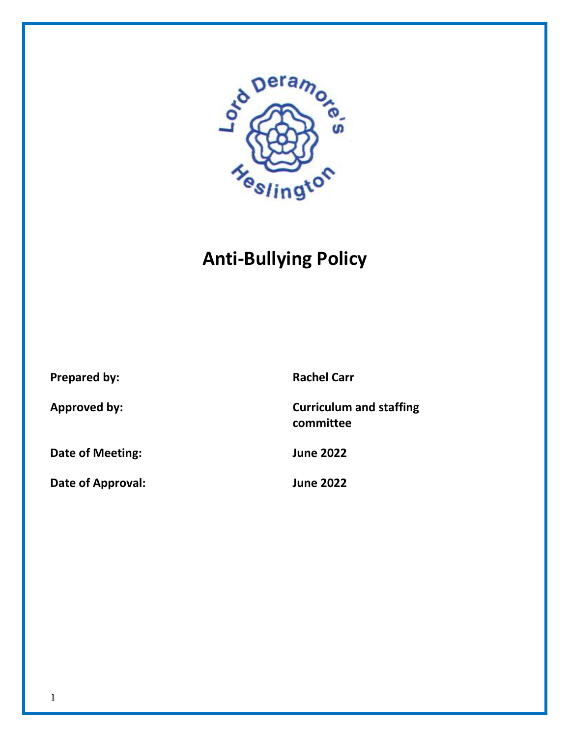

# **Anti-Bullying Policy**

**Prepared by: Rachel Carr Approved by: Curriculum and staffing Date of Meeting: June 2022**

**Date of Approval: June 2022**

**committee**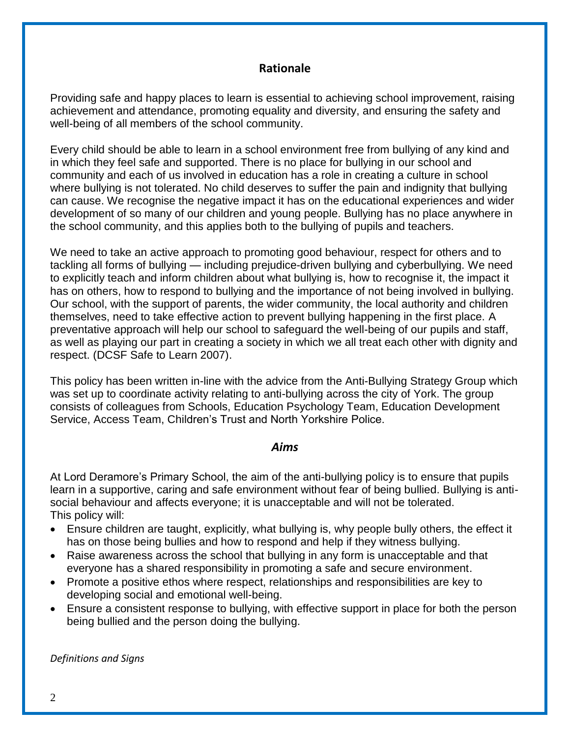## **Rationale**

Providing safe and happy places to learn is essential to achieving school improvement, raising achievement and attendance, promoting equality and diversity, and ensuring the safety and well-being of all members of the school community.

Every child should be able to learn in a school environment free from bullying of any kind and in which they feel safe and supported. There is no place for bullying in our school and community and each of us involved in education has a role in creating a culture in school where bullying is not tolerated. No child deserves to suffer the pain and indignity that bullying can cause. We recognise the negative impact it has on the educational experiences and wider development of so many of our children and young people. Bullying has no place anywhere in the school community, and this applies both to the bullying of pupils and teachers.

We need to take an active approach to promoting good behaviour, respect for others and to tackling all forms of bullying — including prejudice-driven bullying and cyberbullying. We need to explicitly teach and inform children about what bullying is, how to recognise it, the impact it has on others, how to respond to bullying and the importance of not being involved in bullying. Our school, with the support of parents, the wider community, the local authority and children themselves, need to take effective action to prevent bullying happening in the first place. A preventative approach will help our school to safeguard the well-being of our pupils and staff, as well as playing our part in creating a society in which we all treat each other with dignity and respect. (DCSF Safe to Learn 2007).

This policy has been written in-line with the advice from the Anti-Bullying Strategy Group which was set up to coordinate activity relating to anti-bullying across the city of York. The group consists of colleagues from Schools, Education Psychology Team, Education Development Service, Access Team, Children's Trust and North Yorkshire Police.

#### *Aims*

At Lord Deramore's Primary School, the aim of the anti-bullying policy is to ensure that pupils learn in a supportive, caring and safe environment without fear of being bullied. Bullying is antisocial behaviour and affects everyone; it is unacceptable and will not be tolerated. This policy will:

- Ensure children are taught, explicitly, what bullying is, why people bully others, the effect it has on those being bullies and how to respond and help if they witness bullying.
- Raise awareness across the school that bullying in any form is unacceptable and that everyone has a shared responsibility in promoting a safe and secure environment.
- Promote a positive ethos where respect, relationships and responsibilities are key to developing social and emotional well-being.
- Ensure a consistent response to bullying, with effective support in place for both the person being bullied and the person doing the bullying.

*Definitions and Signs*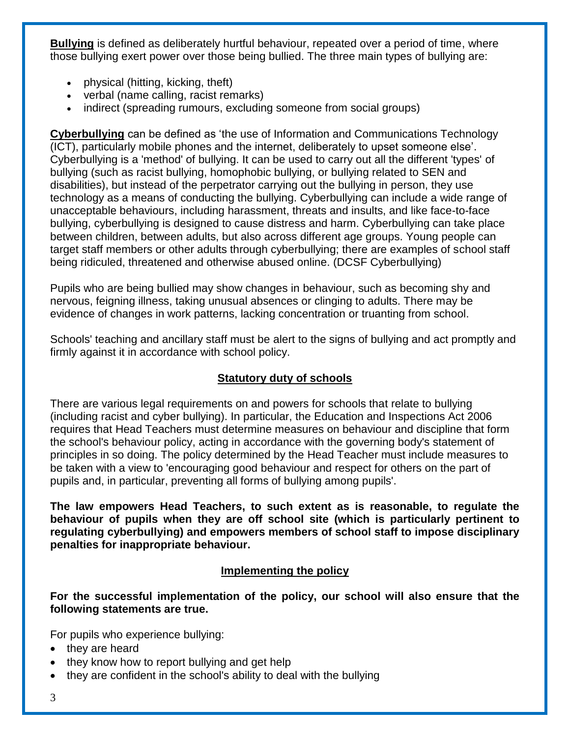**Bullying** is defined as deliberately hurtful behaviour, repeated over a period of time, where those bullying exert power over those being bullied. The three main types of bullying are:

- physical (hitting, kicking, theft)
- verbal (name calling, racist remarks)
- indirect (spreading rumours, excluding someone from social groups)

**Cyberbullying** can be defined as 'the use of Information and Communications Technology (ICT), particularly mobile phones and the internet, deliberately to upset someone else'. Cyberbullying is a 'method' of bullying. It can be used to carry out all the different 'types' of bullying (such as racist bullying, homophobic bullying, or bullying related to SEN and disabilities), but instead of the perpetrator carrying out the bullying in person, they use technology as a means of conducting the bullying. Cyberbullying can include a wide range of unacceptable behaviours, including harassment, threats and insults, and like face-to-face bullying, cyberbullying is designed to cause distress and harm. Cyberbullying can take place between children, between adults, but also across different age groups. Young people can target staff members or other adults through cyberbullying; there are examples of school staff being ridiculed, threatened and otherwise abused online. (DCSF Cyberbullying)

Pupils who are being bullied may show changes in behaviour, such as becoming shy and nervous, feigning illness, taking unusual absences or clinging to adults. There may be evidence of changes in work patterns, lacking concentration or truanting from school.

Schools' teaching and ancillary staff must be alert to the signs of bullying and act promptly and firmly against it in accordance with school policy.

# **Statutory duty of schools**

There are various legal requirements on and powers for schools that relate to bullying (including racist and cyber bullying). In particular, the Education and Inspections Act 2006 requires that Head Teachers must determine measures on behaviour and discipline that form the school's behaviour policy, acting in accordance with the governing body's statement of principles in so doing. The policy determined by the Head Teacher must include measures to be taken with a view to 'encouraging good behaviour and respect for others on the part of pupils and, in particular, preventing all forms of bullying among pupils'.

**The law empowers Head Teachers, to such extent as is reasonable, to regulate the behaviour of pupils when they are off school site (which is particularly pertinent to regulating cyberbullying) and empowers members of school staff to impose disciplinary penalties for inappropriate behaviour.**

## **Implementing the policy**

**For the successful implementation of the policy, our school will also ensure that the following statements are true.** 

For pupils who experience bullying:

- they are heard
- $\bullet$  they know how to report bullying and get help
- they are confident in the school's ability to deal with the bullying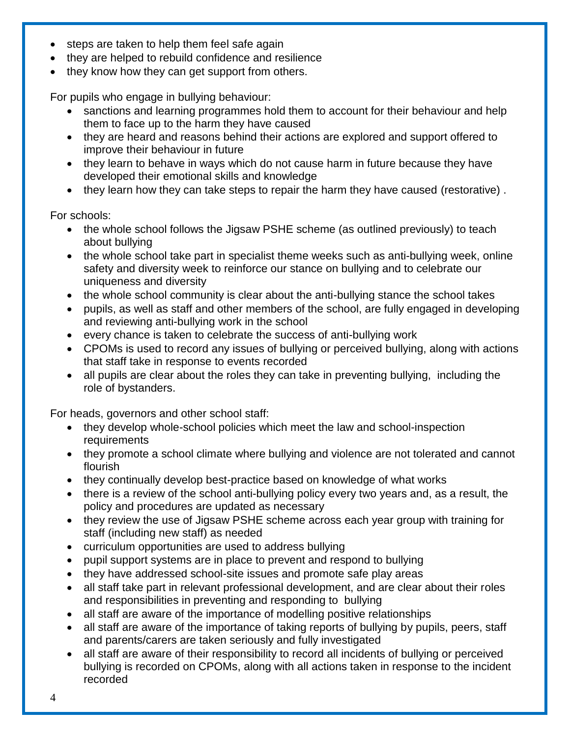- steps are taken to help them feel safe again
- they are helped to rebuild confidence and resilience
- they know how they can get support from others.

For pupils who engage in bullying behaviour:

- sanctions and learning programmes hold them to account for their behaviour and help them to face up to the harm they have caused
- they are heard and reasons behind their actions are explored and support offered to improve their behaviour in future
- they learn to behave in ways which do not cause harm in future because they have developed their emotional skills and knowledge
- they learn how they can take steps to repair the harm they have caused (restorative).

For schools:

- the whole school follows the Jigsaw PSHE scheme (as outlined previously) to teach about bullying
- the whole school take part in specialist theme weeks such as anti-bullying week, online safety and diversity week to reinforce our stance on bullying and to celebrate our uniqueness and diversity
- the whole school community is clear about the anti-bullying stance the school takes
- pupils, as well as staff and other members of the school, are fully engaged in developing and reviewing anti-bullying work in the school
- every chance is taken to celebrate the success of anti-bullying work
- CPOMs is used to record any issues of bullying or perceived bullying, along with actions that staff take in response to events recorded
- all pupils are clear about the roles they can take in preventing bullying, including the role of bystanders.

For heads, governors and other school staff:

- they develop whole-school policies which meet the law and school-inspection requirements
- they promote a school climate where bullying and violence are not tolerated and cannot flourish
- they continually develop best-practice based on knowledge of what works
- there is a review of the school anti-bullying policy every two years and, as a result, the policy and procedures are updated as necessary
- they review the use of Jigsaw PSHE scheme across each year group with training for staff (including new staff) as needed
- curriculum opportunities are used to address bullying
- pupil support systems are in place to prevent and respond to bullying
- they have addressed school-site issues and promote safe play areas
- all staff take part in relevant professional development, and are clear about their roles and responsibilities in preventing and responding to bullying
- all staff are aware of the importance of modelling positive relationships
- all staff are aware of the importance of taking reports of bullying by pupils, peers, staff and parents/carers are taken seriously and fully investigated
- all staff are aware of their responsibility to record all incidents of bullying or perceived bullying is recorded on CPOMs, along with all actions taken in response to the incident recorded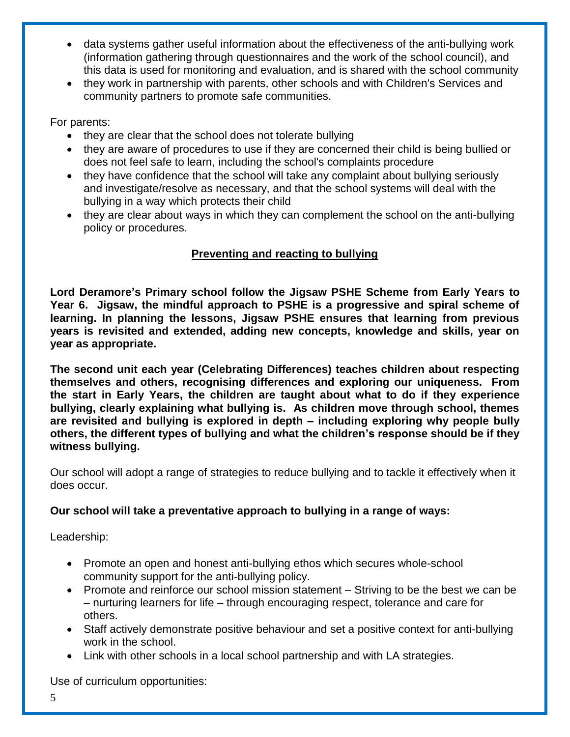- data systems gather useful information about the effectiveness of the anti-bullying work (information gathering through questionnaires and the work of the school council), and this data is used for monitoring and evaluation, and is shared with the school community
- they work in partnership with parents, other schools and with Children's Services and community partners to promote safe communities.

For parents:

- they are clear that the school does not tolerate bullying
- they are aware of procedures to use if they are concerned their child is being bullied or does not feel safe to learn, including the school's complaints procedure
- they have confidence that the school will take any complaint about bullying seriously and investigate/resolve as necessary, and that the school systems will deal with the bullying in a way which protects their child
- they are clear about ways in which they can complement the school on the anti-bullying policy or procedures.

# **Preventing and reacting to bullying**

**Lord Deramore's Primary school follow the Jigsaw PSHE Scheme from Early Years to Year 6. Jigsaw, the mindful approach to PSHE is a progressive and spiral scheme of learning. In planning the lessons, Jigsaw PSHE ensures that learning from previous years is revisited and extended, adding new concepts, knowledge and skills, year on year as appropriate.** 

**The second unit each year (Celebrating Differences) teaches children about respecting themselves and others, recognising differences and exploring our uniqueness. From the start in Early Years, the children are taught about what to do if they experience bullying, clearly explaining what bullying is. As children move through school, themes are revisited and bullying is explored in depth – including exploring why people bully others, the different types of bullying and what the children's response should be if they witness bullying.**

Our school will adopt a range of strategies to reduce bullying and to tackle it effectively when it does occur.

## **Our school will take a preventative approach to bullying in a range of ways:**

Leadership:

- Promote an open and honest anti-bullying ethos which secures whole-school community support for the anti-bullying policy.
- Promote and reinforce our school mission statement Striving to be the best we can be – nurturing learners for life – through encouraging respect, tolerance and care for others.
- Staff actively demonstrate positive behaviour and set a positive context for anti-bullying work in the school.
- Link with other schools in a local school partnership and with LA strategies.

Use of curriculum opportunities: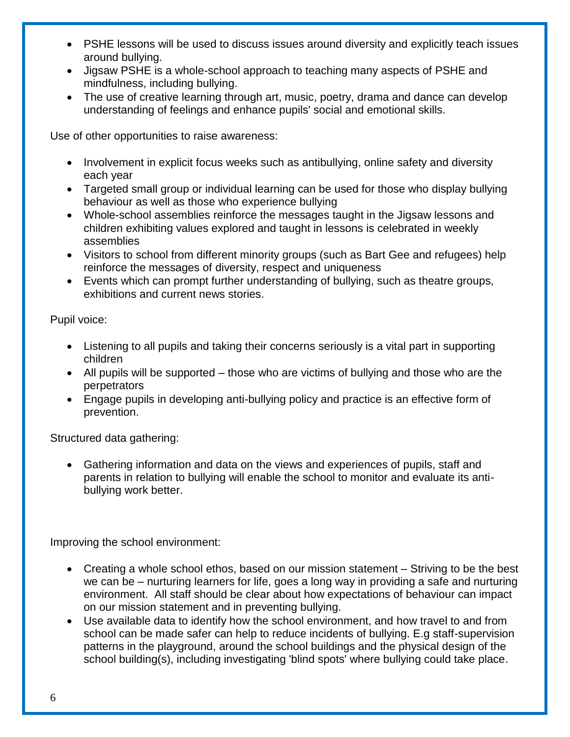- PSHE lessons will be used to discuss issues around diversity and explicitly teach issues around bullying.
- Jigsaw PSHE is a whole-school approach to teaching many aspects of PSHE and mindfulness, including bullying.
- The use of creative learning through art, music, poetry, drama and dance can develop understanding of feelings and enhance pupils' social and emotional skills.

Use of other opportunities to raise awareness:

- Involvement in explicit focus weeks such as antibullying, online safety and diversity each year
- Targeted small group or individual learning can be used for those who display bullying behaviour as well as those who experience bullying
- Whole-school assemblies reinforce the messages taught in the Jigsaw lessons and children exhibiting values explored and taught in lessons is celebrated in weekly assemblies
- Visitors to school from different minority groups (such as Bart Gee and refugees) help reinforce the messages of diversity, respect and uniqueness
- Events which can prompt further understanding of bullying, such as theatre groups, exhibitions and current news stories.

Pupil voice:

- Listening to all pupils and taking their concerns seriously is a vital part in supporting children
- All pupils will be supported those who are victims of bullying and those who are the perpetrators
- Engage pupils in developing anti-bullying policy and practice is an effective form of prevention.

Structured data gathering:

 Gathering information and data on the views and experiences of pupils, staff and parents in relation to bullying will enable the school to monitor and evaluate its antibullying work better.

Improving the school environment:

- Creating a whole school ethos, based on our mission statement Striving to be the best we can be – nurturing learners for life, goes a long way in providing a safe and nurturing environment. All staff should be clear about how expectations of behaviour can impact on our mission statement and in preventing bullying.
- Use available data to identify how the school environment, and how travel to and from school can be made safer can help to reduce incidents of bullying. E.g staff-supervision patterns in the playground, around the school buildings and the physical design of the school building(s), including investigating 'blind spots' where bullying could take place.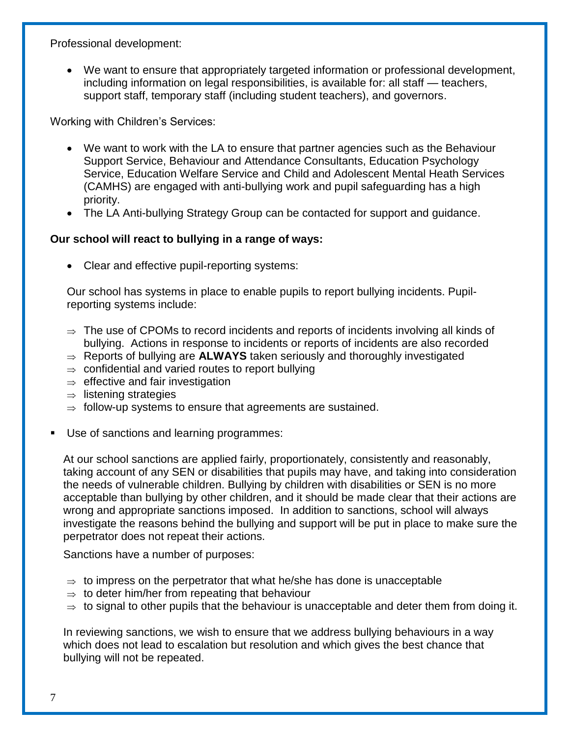Professional development:

 We want to ensure that appropriately targeted information or professional development, including information on legal responsibilities, is available for: all staff — teachers, support staff, temporary staff (including student teachers), and governors.

Working with Children's Services:

- We want to work with the LA to ensure that partner agencies such as the Behaviour Support Service, Behaviour and Attendance Consultants, Education Psychology Service, Education Welfare Service and Child and Adolescent Mental Heath Services (CAMHS) are engaged with anti-bullying work and pupil safeguarding has a high priority.
- The LA Anti-bullying Strategy Group can be contacted for support and guidance.

## **Our school will react to bullying in a range of ways:**

• Clear and effective pupil-reporting systems:

Our school has systems in place to enable pupils to report bullying incidents. Pupilreporting systems include:

- $\Rightarrow$  The use of CPOMs to record incidents and reports of incidents involving all kinds of bullying. Actions in response to incidents or reports of incidents are also recorded
- $\Rightarrow$  Reports of bullying are **ALWAYS** taken seriously and thoroughly investigated
- $\Rightarrow$  confidential and varied routes to report bullying
- $\Rightarrow$  effective and fair investigation
- $\Rightarrow$  listening strategies
- $\Rightarrow$  follow-up systems to ensure that agreements are sustained.
- Use of sanctions and learning programmes:

At our school sanctions are applied fairly, proportionately, consistently and reasonably, taking account of any SEN or disabilities that pupils may have, and taking into consideration the needs of vulnerable children. Bullying by children with disabilities or SEN is no more acceptable than bullying by other children, and it should be made clear that their actions are wrong and appropriate sanctions imposed. In addition to sanctions, school will always investigate the reasons behind the bullying and support will be put in place to make sure the perpetrator does not repeat their actions.

Sanctions have a number of purposes:

- $\Rightarrow$  to impress on the perpetrator that what he/she has done is unacceptable
- $\Rightarrow$  to deter him/her from repeating that behaviour
- $\Rightarrow$  to signal to other pupils that the behaviour is unacceptable and deter them from doing it.

In reviewing sanctions, we wish to ensure that we address bullying behaviours in a way which does not lead to escalation but resolution and which gives the best chance that bullying will not be repeated.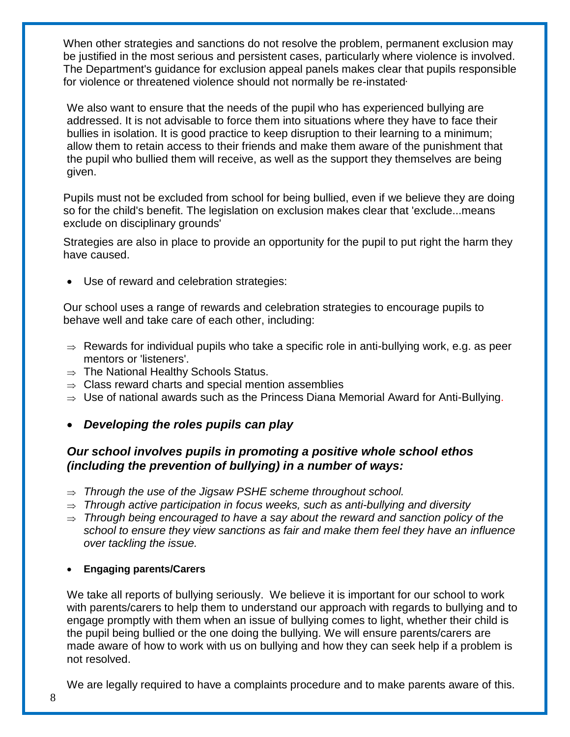When other strategies and sanctions do not resolve the problem, permanent exclusion may be justified in the most serious and persistent cases, particularly where violence is involved. The Department's guidance for exclusion appeal panels makes clear that pupils responsible for violence or threatened violence should not normally be re-instated**.**

We also want to ensure that the needs of the pupil who has experienced bullying are addressed. It is not advisable to force them into situations where they have to face their bullies in isolation. It is good practice to keep disruption to their learning to a minimum; allow them to retain access to their friends and make them aware of the punishment that the pupil who bullied them will receive, as well as the support they themselves are being given.

Pupils must not be excluded from school for being bullied, even if we believe they are doing so for the child's benefit. The legislation on exclusion makes clear that 'exclude...means exclude on disciplinary grounds'

Strategies are also in place to provide an opportunity for the pupil to put right the harm they have caused.

Use of reward and celebration strategies:

Our school uses a range of rewards and celebration strategies to encourage pupils to behave well and take care of each other, including:

- $\Rightarrow$  Rewards for individual pupils who take a specific role in anti-bullying work, e.g. as peer mentors or 'listeners'.
- $\Rightarrow$  The National Healthy Schools Status.
- $\Rightarrow$  Class reward charts and special mention assemblies
- $\Rightarrow$  Use of national awards such as the Princess Diana Memorial Award for Anti-Bullying.
- *Developing the roles pupils can play*

# *Our school involves pupils in promoting a positive whole school ethos (including the prevention of bullying) in a number of ways:*

- *Through the use of the Jigsaw PSHE scheme throughout school.*
- *Through active participation in focus weeks, such as anti-bullying and diversity*
- $\Rightarrow$  Through being encouraged to have a say about the reward and sanction policy of the *school to ensure they view sanctions as fair and make them feel they have an influence over tackling the issue.*

#### **Engaging parents/Carers**

We take all reports of bullying seriously. We believe it is important for our school to work with parents/carers to help them to understand our approach with regards to bullying and to engage promptly with them when an issue of bullying comes to light, whether their child is the pupil being bullied or the one doing the bullying. We will ensure parents/carers are made aware of how to work with us on bullying and how they can seek help if a problem is not resolved.

We are legally required to have a complaints procedure and to make parents aware of this.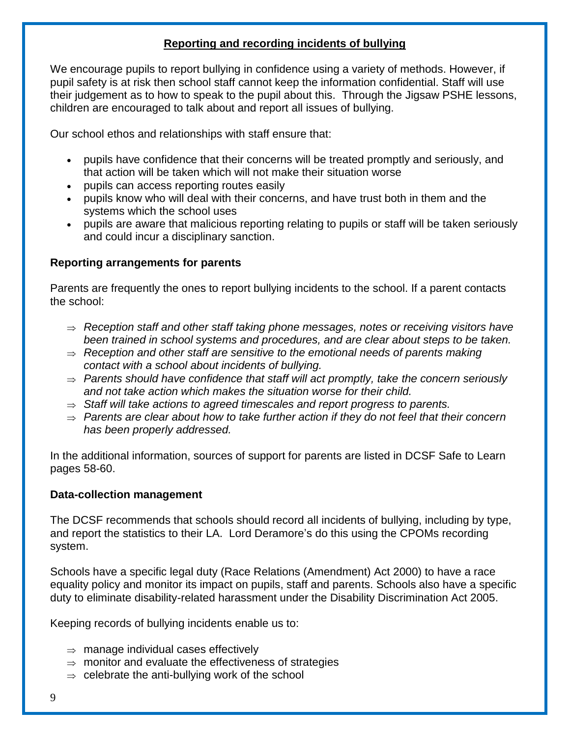## **Reporting and recording incidents of bullying**

We encourage pupils to report bullying in confidence using a variety of methods. However, if pupil safety is at risk then school staff cannot keep the information confidential. Staff will use their judgement as to how to speak to the pupil about this. Through the Jigsaw PSHE lessons, children are encouraged to talk about and report all issues of bullying.

Our school ethos and relationships with staff ensure that:

- pupils have confidence that their concerns will be treated promptly and seriously, and that action will be taken which will not make their situation worse
- pupils can access reporting routes easily
- pupils know who will deal with their concerns, and have trust both in them and the systems which the school uses
- pupils are aware that malicious reporting relating to pupils or staff will be taken seriously and could incur a disciplinary sanction.

## **Reporting arrangements for parents**

Parents are frequently the ones to report bullying incidents to the school. If a parent contacts the school:

- *Reception staff and other staff taking phone messages, notes or receiving visitors have been trained in school systems and procedures, and are clear about steps to be taken.*
- $\Rightarrow$  Reception and other staff are sensitive to the emotional needs of parents making *contact with a school about incidents of bullying.*
- *Parents should have confidence that staff will act promptly, take the concern seriously and not take action which makes the situation worse for their child.*
- $\Rightarrow$  Staff will take actions to agreed timescales and report progress to parents.
- *Parents are clear about how to take further action if they do not feel that their concern has been properly addressed.*

In the additional information, sources of support for parents are listed in DCSF Safe to Learn pages 58-60.

#### **Data-collection management**

The DCSF recommends that schools should record all incidents of bullying, including by type, and report the statistics to their LA. Lord Deramore's do this using the CPOMs recording system.

Schools have a specific legal duty (Race Relations (Amendment) Act 2000) to have a race equality policy and monitor its impact on pupils, staff and parents. Schools also have a specific duty to eliminate disability-related harassment under the Disability Discrimination Act 2005.

Keeping records of bullying incidents enable us to:

- $\Rightarrow$  manage individual cases effectively
- $\Rightarrow$  monitor and evaluate the effectiveness of strategies
- $\Rightarrow$  celebrate the anti-bullying work of the school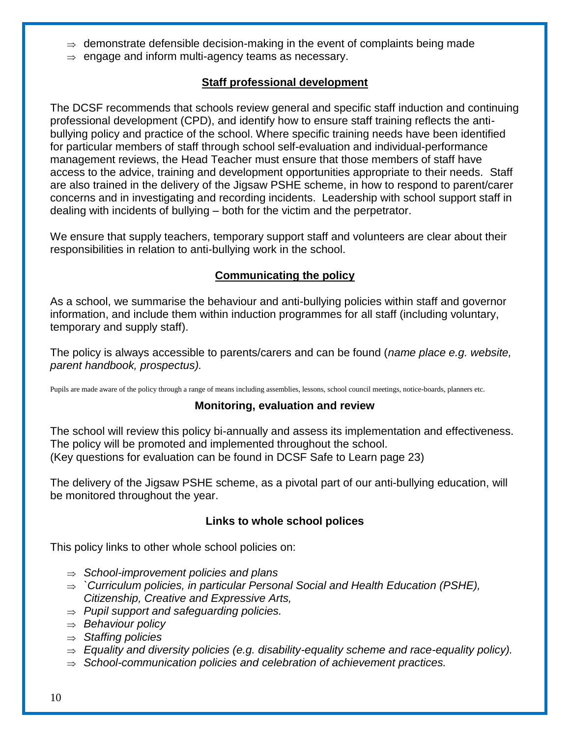- $\Rightarrow$  demonstrate defensible decision-making in the event of complaints being made
- $\Rightarrow$  engage and inform multi-agency teams as necessary.

## **Staff professional development**

The DCSF recommends that schools review general and specific staff induction and continuing professional development (CPD), and identify how to ensure staff training reflects the antibullying policy and practice of the school. Where specific training needs have been identified for particular members of staff through school self-evaluation and individual-performance management reviews, the Head Teacher must ensure that those members of staff have access to the advice, training and development opportunities appropriate to their needs. Staff are also trained in the delivery of the Jigsaw PSHE scheme, in how to respond to parent/carer concerns and in investigating and recording incidents. Leadership with school support staff in dealing with incidents of bullying – both for the victim and the perpetrator.

We ensure that supply teachers, temporary support staff and volunteers are clear about their responsibilities in relation to anti-bullying work in the school.

## **Communicating the policy**

As a school, we summarise the behaviour and anti-bullying policies within staff and governor information, and include them within induction programmes for all staff (including voluntary, temporary and supply staff).

The policy is always accessible to parents/carers and can be found (*name place e.g. website, parent handbook, prospectus).* 

Pupils are made aware of the policy through a range of means including assemblies, lessons, school council meetings, notice-boards, planners etc.

## **Monitoring, evaluation and review**

The school will review this policy bi-annually and assess its implementation and effectiveness. The policy will be promoted and implemented throughout the school. (Key questions for evaluation can be found in DCSF Safe to Learn page 23)

The delivery of the Jigsaw PSHE scheme, as a pivotal part of our anti-bullying education, will be monitored throughout the year.

#### **Links to whole school polices**

This policy links to other whole school policies on:

- *School-improvement policies and plans*
- *`Curriculum policies, in particular Personal Social and Health Education (PSHE), Citizenship, Creative and Expressive Arts,*
- *Pupil support and safeguarding policies.*
- *Behaviour policy*
- *Staffing policies*
- $\Rightarrow$  Equality and diversity policies (e.g. disability-equality scheme and race-equality policy).
- *School-communication policies and celebration of achievement practices.*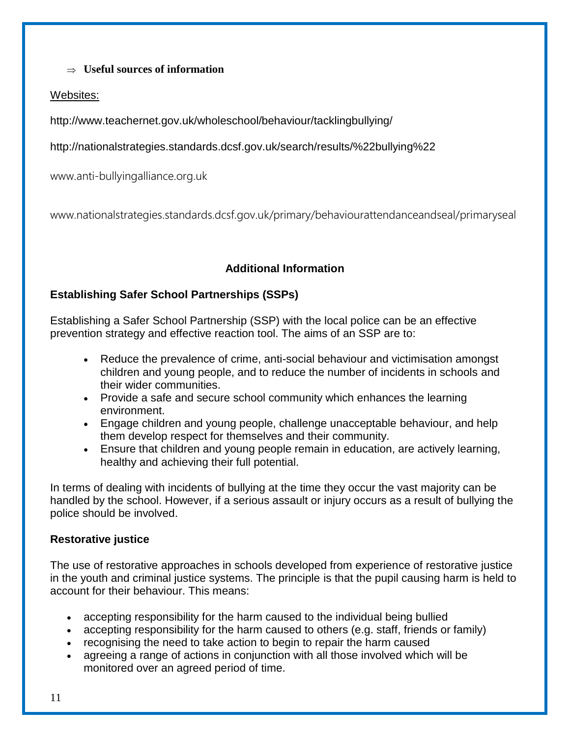## **Useful sources of information**

## Websites:

http://www.teachernet.gov.uk/wholeschool/behaviour/tacklingbullying/

http://nationalstrategies.standards.dcsf.gov.uk/search/results/%22bullying%22

www.anti-bullyingalliance.org.uk

www.nationalstrategies.standards.dcsf.gov.uk/primary/behaviourattendanceandseal/primaryseal

# **Additional Information**

## **Establishing Safer School Partnerships (SSPs)**

Establishing a Safer School Partnership (SSP) with the local police can be an effective prevention strategy and effective reaction tool. The aims of an SSP are to:

- Reduce the prevalence of crime, anti-social behaviour and victimisation amongst children and young people, and to reduce the number of incidents in schools and their wider communities.
- Provide a safe and secure school community which enhances the learning environment.
- Engage children and young people, challenge unacceptable behaviour, and help them develop respect for themselves and their community.
- Ensure that children and young people remain in education, are actively learning, healthy and achieving their full potential.

In terms of dealing with incidents of bullying at the time they occur the vast majority can be handled by the school. However, if a serious assault or injury occurs as a result of bullying the police should be involved.

## **Restorative justice**

The use of restorative approaches in schools developed from experience of restorative justice in the youth and criminal justice systems. The principle is that the pupil causing harm is held to account for their behaviour. This means:

- accepting responsibility for the harm caused to the individual being bullied
- accepting responsibility for the harm caused to others (e.g. staff, friends or family)
- recognising the need to take action to begin to repair the harm caused
- agreeing a range of actions in conjunction with all those involved which will be monitored over an agreed period of time.